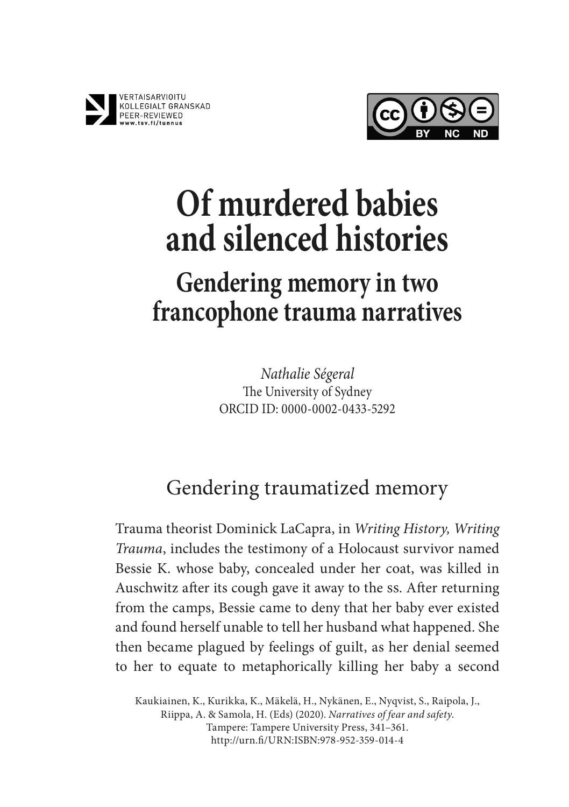



# **Of murdered babies and silenced histories**

# **Gendering memory in two francophone trauma narratives**

*Nathalie Ségeral* The University of Sydney ORCID ID: 0000-0002-0433-5292

# Gendering traumatized memory

Trauma theorist Dominick LaCapra, in *Writing History, Writing Trauma*, includes the testimony of a Holocaust survivor named Bessie K. whose baby, concealed under her coat, was killed in Auschwitz after its cough gave it away to the ss. After returning from the camps, Bessie came to deny that her baby ever existed and found herself unable to tell her husband what happened. She then became plagued by feelings of guilt, as her denial seemed to her to equate to metaphorically killing her baby a second

Kaukiainen, K., Kurikka, K., Mäkelä, H., Nykänen, E., Nyqvist, S., Raipola, J., Riippa, A. & Samola, H. (Eds) (2020). *Narratives of fear and safety*. Tampere: Tampere University Press, 341–361. http://urn.fi/URN:ISBN:978-952-359-014-4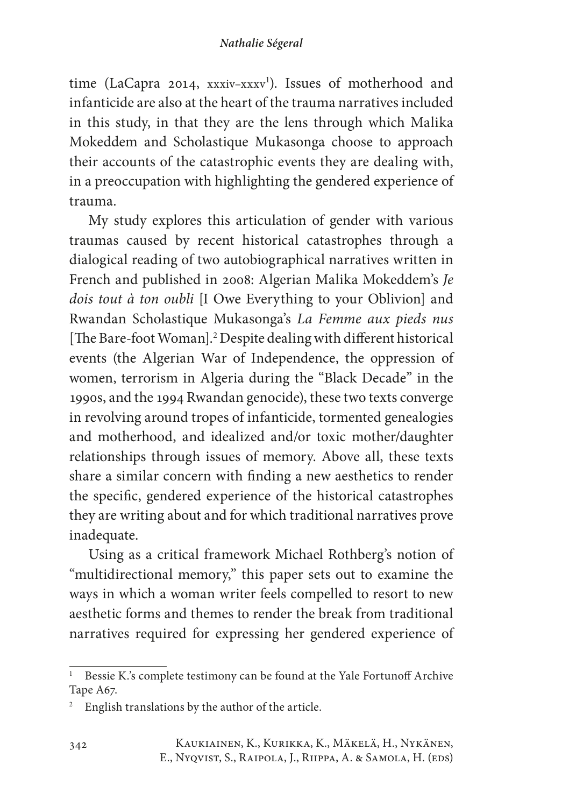time (LaCapra 2014, xxxiv-xxxv<sup>1</sup>). Issues of motherhood and infanticide are also at the heart of the trauma narratives included in this study, in that they are the lens through which Malika Mokeddem and Scholastique Mukasonga choose to approach their accounts of the catastrophic events they are dealing with, in a preoccupation with highlighting the gendered experience of trauma.

My study explores this articulation of gender with various traumas caused by recent historical catastrophes through a dialogical reading of two autobiographical narratives written in French and published in 2008: Algerian Malika Mokeddem's *Je dois tout à ton oubli* [I Owe Everything to your Oblivion] and Rwandan Scholastique Mukasonga's *La Femme aux pieds nus* [The Bare-foot Woman].2 Despite dealing with different historical events (the Algerian War of Independence, the oppression of women, terrorism in Algeria during the "Black Decade" in the 1990s, and the 1994 Rwandan genocide), these two texts converge in revolving around tropes of infanticide, tormented genealogies and motherhood, and idealized and/or toxic mother/daughter relationships through issues of memory. Above all, these texts share a similar concern with finding a new aesthetics to render the specific, gendered experience of the historical catastrophes they are writing about and for which traditional narratives prove inadequate.

Using as a critical framework Michael Rothberg's notion of "multidirectional memory," this paper sets out to examine the ways in which a woman writer feels compelled to resort to new aesthetic forms and themes to render the break from traditional narratives required for expressing her gendered experience of

Bessie K.'s complete testimony can be found at the Yale Fortunoff Archive Tape A67.

<sup>2</sup> English translations by the author of the article.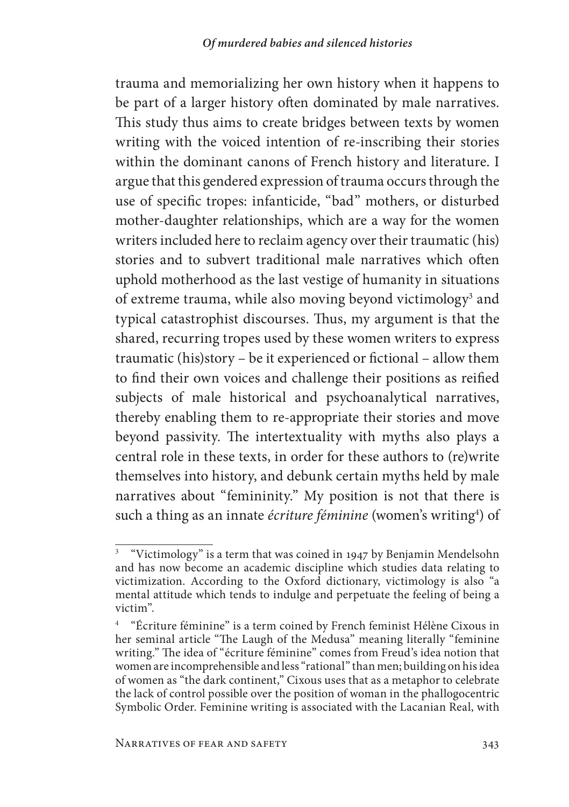trauma and memorializing her own history when it happens to be part of a larger history often dominated by male narratives. This study thus aims to create bridges between texts by women writing with the voiced intention of re-inscribing their stories within the dominant canons of French history and literature. I argue that this gendered expression of trauma occurs through the use of specific tropes: infanticide, "bad" mothers, or disturbed mother-daughter relationships, which are a way for the women writers included here to reclaim agency over their traumatic (his) stories and to subvert traditional male narratives which often uphold motherhood as the last vestige of humanity in situations of extreme trauma, while also moving beyond victimology<sup>3</sup> and typical catastrophist discourses. Thus, my argument is that the shared, recurring tropes used by these women writers to express traumatic (his)story – be it experienced or fictional – allow them to find their own voices and challenge their positions as reified subjects of male historical and psychoanalytical narratives, thereby enabling them to re-appropriate their stories and move beyond passivity. The intertextuality with myths also plays a central role in these texts, in order for these authors to (re)write themselves into history, and debunk certain myths held by male narratives about "femininity." My position is not that there is such a thing as an innate écriture féminine (women's writing<sup>4</sup>) of

<sup>&</sup>lt;sup>3</sup> "Victimology" is a term that was coined in 1947 by Benjamin Mendelsohn and has now become an academic discipline which studies data relating to victimization. According to the Oxford dictionary, victimology is also "a mental attitude which tends to indulge and perpetuate the feeling of being a victim".

<sup>4</sup> "Écriture féminine" is a term coined by French feminist Hélène Cixous in her seminal article "The Laugh of the Medusa" meaning literally "feminine writing." The idea of "écriture féminine" comes from Freud's idea notion that women are incomprehensible and less "rational" than men; building on his idea of women as "the dark continent," Cixous uses that as a metaphor to celebrate the lack of control possible over the position of woman in the phallogocentric Symbolic Order. Feminine writing is associated with the Lacanian Real, with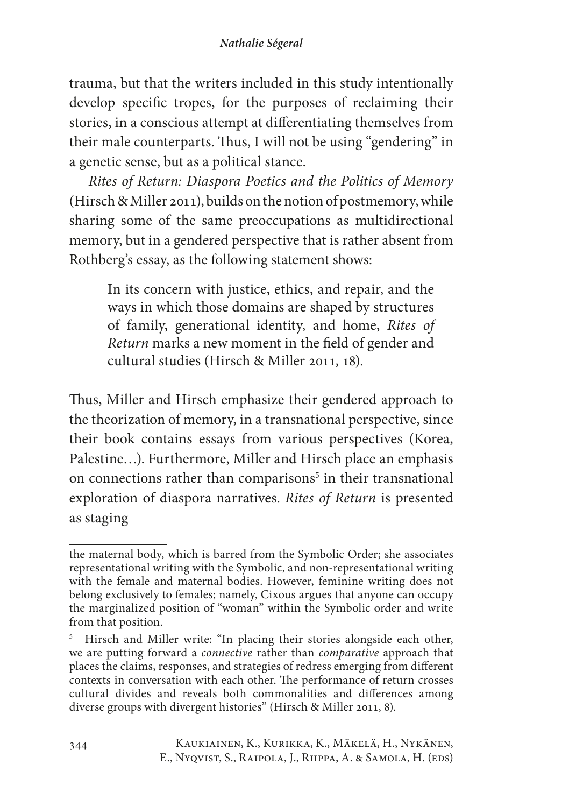trauma, but that the writers included in this study intentionally develop specific tropes, for the purposes of reclaiming their stories, in a conscious attempt at differentiating themselves from their male counterparts. Thus, I will not be using "gendering" in a genetic sense, but as a political stance.

*Rites of Return: Diaspora Poetics and the Politics of Memory* (Hirsch & Miller 2011), builds on the notion of postmemory, while sharing some of the same preoccupations as multidirectional memory, but in a gendered perspective that is rather absent from Rothberg's essay, as the following statement shows:

In its concern with justice, ethics, and repair, and the ways in which those domains are shaped by structures of family, generational identity, and home, *Rites of Return* marks a new moment in the field of gender and cultural studies (Hirsch & Miller 2011, 18).

Thus, Miller and Hirsch emphasize their gendered approach to the theorization of memory, in a transnational perspective, since their book contains essays from various perspectives (Korea, Palestine…). Furthermore, Miller and Hirsch place an emphasis on connections rather than comparisons<sup>5</sup> in their transnational exploration of diaspora narratives. *Rites of Return* is presented as staging

the maternal body, which is barred from the Symbolic Order; she associates representational writing with the Symbolic, and non-representational writing with the female and maternal bodies. However, feminine writing does not belong exclusively to females; namely, Cixous argues that anyone can occupy the marginalized position of "woman" within the Symbolic order and write from that position.

<sup>&</sup>lt;sup>5</sup> Hirsch and Miller write: "In placing their stories alongside each other, we are putting forward a *connective* rather than *comparative* approach that places the claims, responses, and strategies of redress emerging from different contexts in conversation with each other. The performance of return crosses cultural divides and reveals both commonalities and differences among diverse groups with divergent histories" (Hirsch & Miller 2011, 8).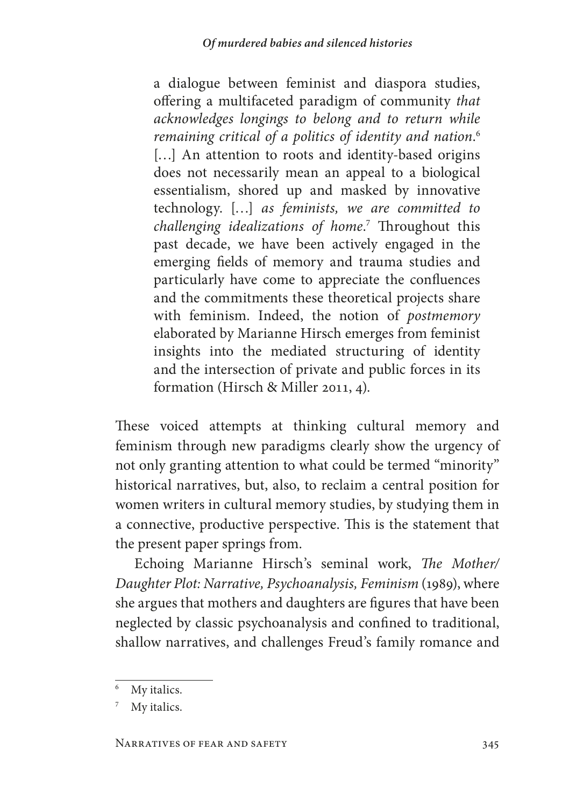a dialogue between feminist and diaspora studies, offering a multifaceted paradigm of community *that acknowledges longings to belong and to return while remaining critical of a politics of identity and nation*. 6 [...] An attention to roots and identity-based origins does not necessarily mean an appeal to a biological essentialism, shored up and masked by innovative technology. […] *as feminists, we are committed to challenging idealizations of home*. 7 Throughout this past decade, we have been actively engaged in the emerging fields of memory and trauma studies and particularly have come to appreciate the confluences and the commitments these theoretical projects share with feminism. Indeed, the notion of *postmemory* elaborated by Marianne Hirsch emerges from feminist insights into the mediated structuring of identity and the intersection of private and public forces in its formation (Hirsch & Miller 2011, 4).

These voiced attempts at thinking cultural memory and feminism through new paradigms clearly show the urgency of not only granting attention to what could be termed "minority" historical narratives, but, also, to reclaim a central position for women writers in cultural memory studies, by studying them in a connective, productive perspective. This is the statement that the present paper springs from.

Echoing Marianne Hirsch's seminal work, *The Mother/ Daughter Plot: Narrative, Psychoanalysis, Feminism* (1989), where she argues that mothers and daughters are figures that have been neglected by classic psychoanalysis and confined to traditional, shallow narratives, and challenges Freud's family romance and

<sup>&</sup>lt;sup>6</sup> My italics.

<sup>7</sup> My italics.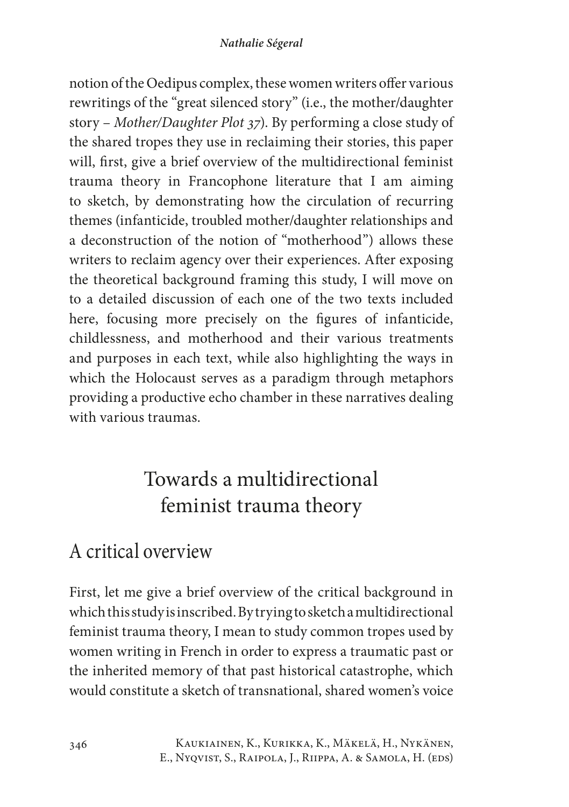notion of the Oedipus complex, these women writers offer various rewritings of the "great silenced story" (i.e., the mother/daughter story – *Mother/Daughter Plot 37*). By performing a close study of the shared tropes they use in reclaiming their stories, this paper will, first, give a brief overview of the multidirectional feminist trauma theory in Francophone literature that I am aiming to sketch, by demonstrating how the circulation of recurring themes (infanticide, troubled mother/daughter relationships and a deconstruction of the notion of "motherhood") allows these writers to reclaim agency over their experiences. After exposing the theoretical background framing this study, I will move on to a detailed discussion of each one of the two texts included here, focusing more precisely on the figures of infanticide, childlessness, and motherhood and their various treatments and purposes in each text, while also highlighting the ways in which the Holocaust serves as a paradigm through metaphors providing a productive echo chamber in these narratives dealing with various traumas.

# Towards a multidirectional feminist trauma theory

### A critical overview

First, let me give a brief overview of the critical background in which this study is inscribed. By trying to sketch a multidirectional feminist trauma theory, I mean to study common tropes used by women writing in French in order to express a traumatic past or the inherited memory of that past historical catastrophe, which would constitute a sketch of transnational, shared women's voice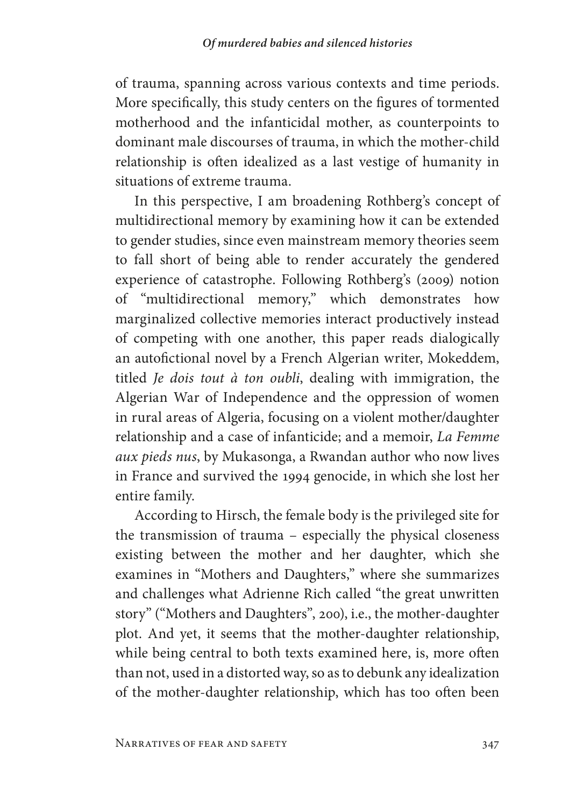of trauma, spanning across various contexts and time periods. More specifically, this study centers on the figures of tormented motherhood and the infanticidal mother, as counterpoints to dominant male discourses of trauma, in which the mother-child relationship is often idealized as a last vestige of humanity in situations of extreme trauma.

In this perspective, I am broadening Rothberg's concept of multidirectional memory by examining how it can be extended to gender studies, since even mainstream memory theories seem to fall short of being able to render accurately the gendered experience of catastrophe. Following Rothberg's (2009) notion of "multidirectional memory," which demonstrates how marginalized collective memories interact productively instead of competing with one another, this paper reads dialogically an autofictional novel by a French Algerian writer, Mokeddem, titled *Je dois tout à ton oubli*, dealing with immigration, the Algerian War of Independence and the oppression of women in rural areas of Algeria, focusing on a violent mother/daughter relationship and a case of infanticide; and a memoir, *La Femme aux pieds nus*, by Mukasonga, a Rwandan author who now lives in France and survived the 1994 genocide, in which she lost her entire family.

According to Hirsch, the female body is the privileged site for the transmission of trauma – especially the physical closeness existing between the mother and her daughter, which she examines in "Mothers and Daughters," where she summarizes and challenges what Adrienne Rich called "the great unwritten story" ("Mothers and Daughters", 200), i.e., the mother-daughter plot. And yet, it seems that the mother-daughter relationship, while being central to both texts examined here, is, more often than not, used in a distorted way, so as to debunk any idealization of the mother-daughter relationship, which has too often been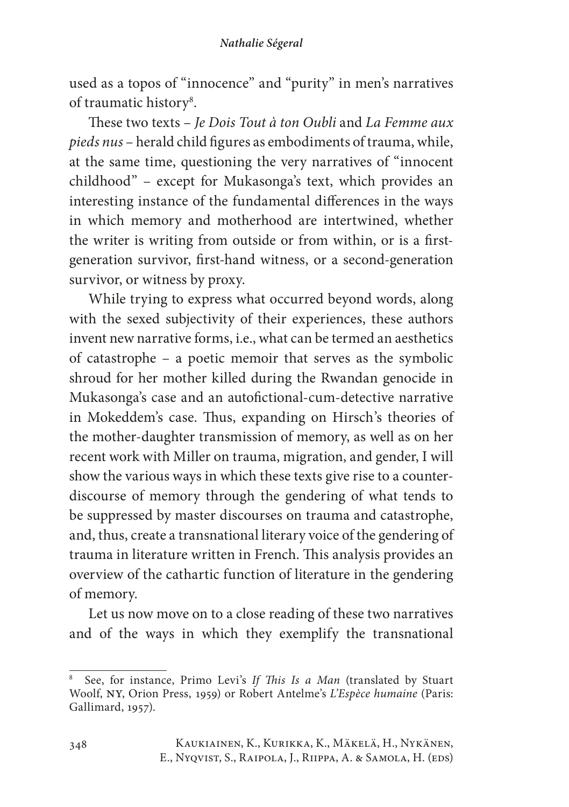used as a topos of "innocence" and "purity" in men's narratives of traumatic history<sup>8</sup>.

These two texts – *Je Dois Tout à ton Oubli* and *La Femme aux pieds nus* – herald child figures as embodiments of trauma, while, at the same time, questioning the very narratives of "innocent childhood" – except for Mukasonga's text, which provides an interesting instance of the fundamental differences in the ways in which memory and motherhood are intertwined, whether the writer is writing from outside or from within, or is a firstgeneration survivor, first-hand witness, or a second-generation survivor, or witness by proxy.

While trying to express what occurred beyond words, along with the sexed subjectivity of their experiences, these authors invent new narrative forms, i.e., what can be termed an aesthetics of catastrophe – a poetic memoir that serves as the symbolic shroud for her mother killed during the Rwandan genocide in Mukasonga's case and an autofictional-cum-detective narrative in Mokeddem's case. Thus, expanding on Hirsch's theories of the mother-daughter transmission of memory, as well as on her recent work with Miller on trauma, migration, and gender, I will show the various ways in which these texts give rise to a counterdiscourse of memory through the gendering of what tends to be suppressed by master discourses on trauma and catastrophe, and, thus, create a transnational literary voice of the gendering of trauma in literature written in French. This analysis provides an overview of the cathartic function of literature in the gendering of memory.

Let us now move on to a close reading of these two narratives and of the ways in which they exemplify the transnational

<sup>8</sup> See, for instance, Primo Levi's *If This Is a Man* (translated by Stuart Woolf, ny, Orion Press, 1959) or Robert Antelme's *L'Espèce humaine* (Paris: Gallimard, 1957).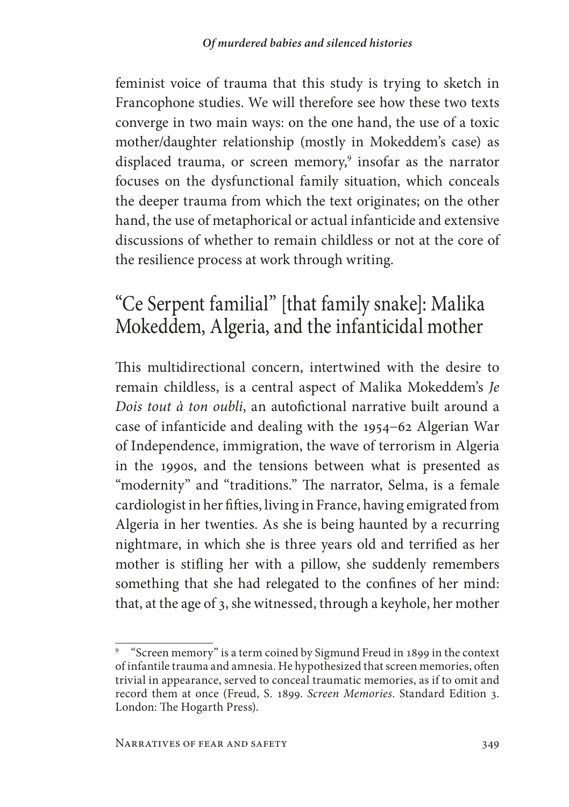feminist voice of trauma that this study is trying to sketch in Francophone studies. We will therefore see how these two texts converge in two main ways: on the one hand, the use of a toxic mother/daughter relationship (mostly in Mokeddem's case) as displaced trauma, or screen memory,<sup>9</sup> insofar as the narrator focuses on the dysfunctional family situation, which conceals the deeper trauma from which the text originates; on the other hand, the use of metaphorical or actual infanticide and extensive discussions of whether to remain childless or not at the core of the resilience process at work through writing.

### "Ce Serpent familial" [that family snake]: Malika Mokeddem, Algeria, and the infanticidal mother

This multidirectional concern, intertwined with the desire to remain childless, is a central aspect of Malika Mokeddem's *Je Dois tout à ton oubli*, an autofictional narrative built around a case of infanticide and dealing with the 1954−62 Algerian War of Independence, immigration, the wave of terrorism in Algeria in the 1990s, and the tensions between what is presented as "modernity" and "traditions." The narrator, Selma, is a female cardiologist in her fifties, living in France, having emigrated from Algeria in her twenties. As she is being haunted by a recurring nightmare, in which she is three years old and terrified as her mother is stifling her with a pillow, she suddenly remembers something that she had relegated to the confines of her mind: that, at the age of 3, she witnessed, through a keyhole, her mother

<sup>9</sup> "Screen memory" is a term coined by Sigmund Freud in 1899 in the context of infantile trauma and amnesia. He hypothesized that screen memories, often trivial in appearance, served to conceal traumatic memories, as if to omit and record them at once (Freud, S. 1899. *Screen Memories*. Standard Edition 3. London: The Hogarth Press).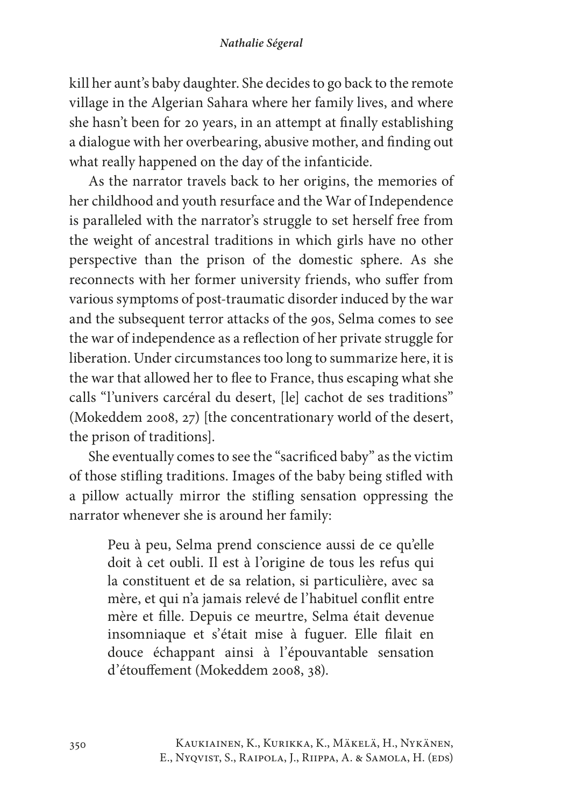#### *Nathalie Ségeral*

kill her aunt's baby daughter. She decides to go back to the remote village in the Algerian Sahara where her family lives, and where she hasn't been for 20 years, in an attempt at finally establishing a dialogue with her overbearing, abusive mother, and finding out what really happened on the day of the infanticide.

As the narrator travels back to her origins, the memories of her childhood and youth resurface and the War of Independence is paralleled with the narrator's struggle to set herself free from the weight of ancestral traditions in which girls have no other perspective than the prison of the domestic sphere. As she reconnects with her former university friends, who suffer from various symptoms of post-traumatic disorder induced by the war and the subsequent terror attacks of the 90s, Selma comes to see the war of independence as a reflection of her private struggle for liberation. Under circumstances too long to summarize here, it is the war that allowed her to flee to France, thus escaping what she calls "l'univers carcéral du desert, [le] cachot de ses traditions" (Mokeddem 2008, 27) [the concentrationary world of the desert, the prison of traditions].

She eventually comes to see the "sacrificed baby" as the victim of those stifling traditions. Images of the baby being stifled with a pillow actually mirror the stifling sensation oppressing the narrator whenever she is around her family:

Peu à peu, Selma prend conscience aussi de ce qu'elle doit à cet oubli. Il est à l'origine de tous les refus qui la constituent et de sa relation, si particulière, avec sa mère, et qui n'a jamais relevé de l'habituel conflit entre mère et fille. Depuis ce meurtre, Selma était devenue insomniaque et s'était mise à fuguer. Elle filait en douce échappant ainsi à l'épouvantable sensation d'étouffement (Mokeddem 2008, 38).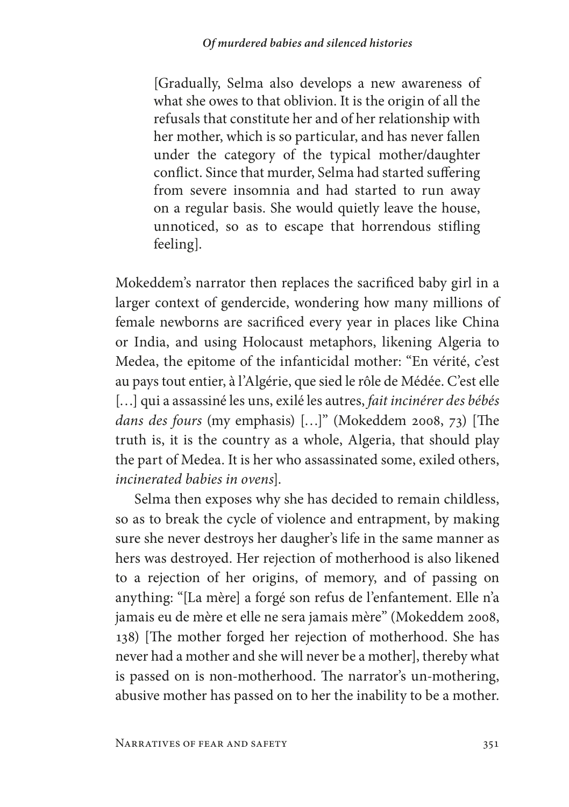[Gradually, Selma also develops a new awareness of what she owes to that oblivion. It is the origin of all the refusals that constitute her and of her relationship with her mother, which is so particular, and has never fallen under the category of the typical mother/daughter conflict. Since that murder, Selma had started suffering from severe insomnia and had started to run away on a regular basis. She would quietly leave the house, unnoticed, so as to escape that horrendous stifling feeling].

Mokeddem's narrator then replaces the sacrificed baby girl in a larger context of gendercide, wondering how many millions of female newborns are sacrificed every year in places like China or India, and using Holocaust metaphors, likening Algeria to Medea, the epitome of the infanticidal mother: "En vérité, c'est au pays tout entier, à l'Algérie, que sied le rôle de Médée. C'est elle […] qui a assassiné les uns, exilé les autres, *fait incinérer des bébés dans des fours* (my emphasis) […]" (Mokeddem 2008, 73) [The truth is, it is the country as a whole, Algeria, that should play the part of Medea. It is her who assassinated some, exiled others, *incinerated babies in ovens*].

Selma then exposes why she has decided to remain childless, so as to break the cycle of violence and entrapment, by making sure she never destroys her daugher's life in the same manner as hers was destroyed. Her rejection of motherhood is also likened to a rejection of her origins, of memory, and of passing on anything: "[La mère] a forgé son refus de l'enfantement. Elle n'a jamais eu de mère et elle ne sera jamais mère" (Mokeddem 2008, 138) [The mother forged her rejection of motherhood. She has never had a mother and she will never be a mother], thereby what is passed on is non-motherhood. The narrator's un-mothering, abusive mother has passed on to her the inability to be a mother.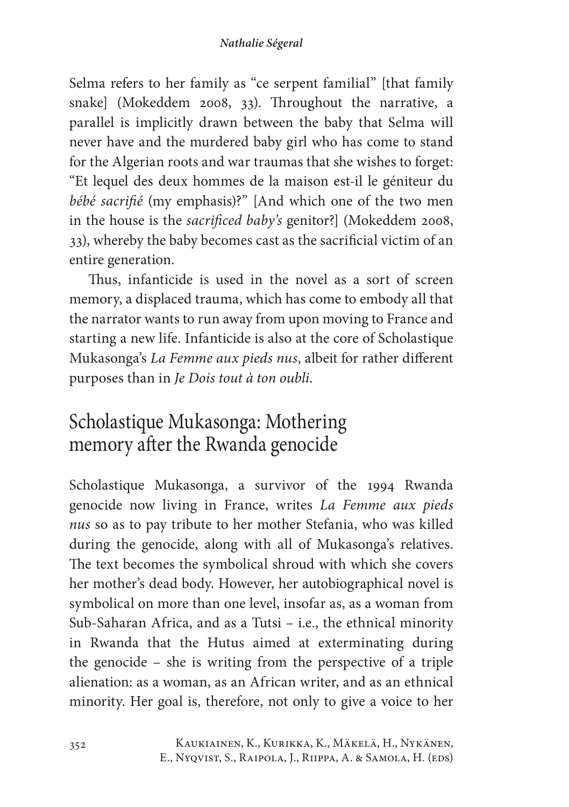#### *Nathalie Ségeral*

Selma refers to her family as "ce serpent familial" [that family snake] (Mokeddem 2008, 33). Throughout the narrative, a parallel is implicitly drawn between the baby that Selma will never have and the murdered baby girl who has come to stand for the Algerian roots and war traumas that she wishes to forget: "Et lequel des deux hommes de la maison est-il le géniteur du *bébé sacrifié* (my emphasis)?" [And which one of the two men in the house is the *sacrificed baby's* genitor?] (Mokeddem 2008, 33), whereby the baby becomes cast as the sacrificial victim of an entire generation.

Thus, infanticide is used in the novel as a sort of screen memory, a displaced trauma, which has come to embody all that the narrator wants to run away from upon moving to France and starting a new life. Infanticide is also at the core of Scholastique Mukasonga's *La Femme aux pieds nus*, albeit for rather different purposes than in *Je Dois tout à ton oubli*.

### Scholastique Mukasonga: Mothering memory after the Rwanda genocide

Scholastique Mukasonga, a survivor of the 1994 Rwanda genocide now living in France, writes *La Femme aux pieds nus* so as to pay tribute to her mother Stefania, who was killed during the genocide, along with all of Mukasonga's relatives. The text becomes the symbolical shroud with which she covers her mother's dead body. However, her autobiographical novel is symbolical on more than one level, insofar as, as a woman from Sub-Saharan Africa, and as a Tutsi – i.e., the ethnical minority in Rwanda that the Hutus aimed at exterminating during the genocide – she is writing from the perspective of a triple alienation: as a woman, as an African writer, and as an ethnical minority. Her goal is, therefore, not only to give a voice to her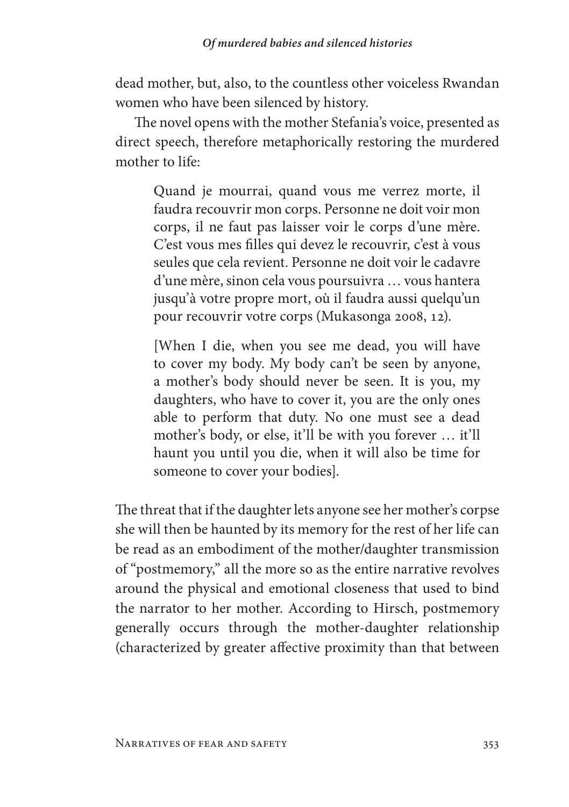dead mother, but, also, to the countless other voiceless Rwandan women who have been silenced by history.

The novel opens with the mother Stefania's voice, presented as direct speech, therefore metaphorically restoring the murdered mother to life:

Quand je mourrai, quand vous me verrez morte, il faudra recouvrir mon corps. Personne ne doit voir mon corps, il ne faut pas laisser voir le corps d'une mère. C'est vous mes filles qui devez le recouvrir, c'est à vous seules que cela revient. Personne ne doit voir le cadavre d'une mère, sinon cela vous poursuivra … vous hantera jusqu'à votre propre mort, où il faudra aussi quelqu'un pour recouvrir votre corps (Mukasonga 2008, 12).

[When I die, when you see me dead, you will have to cover my body. My body can't be seen by anyone, a mother's body should never be seen. It is you, my daughters, who have to cover it, you are the only ones able to perform that duty. No one must see a dead mother's body, or else, it'll be with you forever … it'll haunt you until you die, when it will also be time for someone to cover your bodies].

The threat that if the daughter lets anyone see her mother's corpse she will then be haunted by its memory for the rest of her life can be read as an embodiment of the mother/daughter transmission of "postmemory," all the more so as the entire narrative revolves around the physical and emotional closeness that used to bind the narrator to her mother. According to Hirsch, postmemory generally occurs through the mother-daughter relationship (characterized by greater affective proximity than that between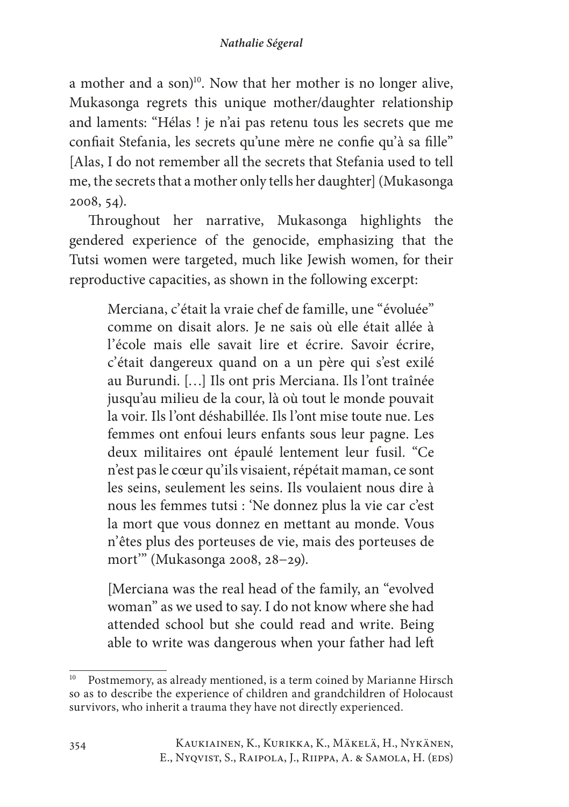a mother and a son) $10$ . Now that her mother is no longer alive, Mukasonga regrets this unique mother/daughter relationship and laments: "Hélas ! je n'ai pas retenu tous les secrets que me confiait Stefania, les secrets qu'une mère ne confie qu'à sa fille" [Alas, I do not remember all the secrets that Stefania used to tell me, the secrets that a mother only tells her daughter] (Mukasonga 2008, 54).

Throughout her narrative, Mukasonga highlights the gendered experience of the genocide, emphasizing that the Tutsi women were targeted, much like Jewish women, for their reproductive capacities, as shown in the following excerpt:

Merciana, c'était la vraie chef de famille, une "évoluée" comme on disait alors. Je ne sais où elle était allée à l'école mais elle savait lire et écrire. Savoir écrire, c'était dangereux quand on a un père qui s'est exilé au Burundi. […] Ils ont pris Merciana. Ils l'ont traînée jusqu'au milieu de la cour, là où tout le monde pouvait la voir. Ils l'ont déshabillée. Ils l'ont mise toute nue. Les femmes ont enfoui leurs enfants sous leur pagne. Les deux militaires ont épaulé lentement leur fusil. "Ce n'est pas le cœur qu'ils visaient, répétait maman, ce sont les seins, seulement les seins. Ils voulaient nous dire à nous les femmes tutsi : 'Ne donnez plus la vie car c'est la mort que vous donnez en mettant au monde. Vous n'êtes plus des porteuses de vie, mais des porteuses de mort'" (Mukasonga 2008, 28−29).

[Merciana was the real head of the family, an "evolved woman" as we used to say. I do not know where she had attended school but she could read and write. Being able to write was dangerous when your father had left

<sup>&</sup>lt;sup>10</sup> Postmemory, as already mentioned, is a term coined by Marianne Hirsch so as to describe the experience of children and grandchildren of Holocaust survivors, who inherit a trauma they have not directly experienced.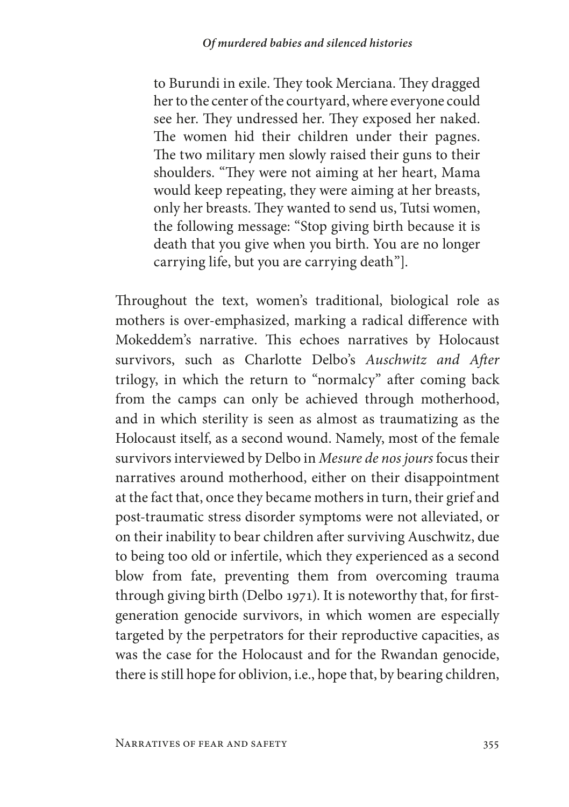to Burundi in exile. They took Merciana. They dragged her to the center of the courtyard, where everyone could see her. They undressed her. They exposed her naked. The women hid their children under their pagnes. The two military men slowly raised their guns to their shoulders. "They were not aiming at her heart, Mama would keep repeating, they were aiming at her breasts, only her breasts. They wanted to send us, Tutsi women, the following message: "Stop giving birth because it is death that you give when you birth. You are no longer carrying life, but you are carrying death"].

Throughout the text, women's traditional, biological role as mothers is over-emphasized, marking a radical difference with Mokeddem's narrative. This echoes narratives by Holocaust survivors, such as Charlotte Delbo's *Auschwitz and After* trilogy, in which the return to "normalcy" after coming back from the camps can only be achieved through motherhood, and in which sterility is seen as almost as traumatizing as the Holocaust itself, as a second wound. Namely, most of the female survivors interviewed by Delbo in *Mesure de nos jours* focus their narratives around motherhood, either on their disappointment at the fact that, once they became mothers in turn, their grief and post-traumatic stress disorder symptoms were not alleviated, or on their inability to bear children after surviving Auschwitz, due to being too old or infertile, which they experienced as a second blow from fate, preventing them from overcoming trauma through giving birth (Delbo 1971). It is noteworthy that, for firstgeneration genocide survivors, in which women are especially targeted by the perpetrators for their reproductive capacities, as was the case for the Holocaust and for the Rwandan genocide, there is still hope for oblivion, i.e., hope that, by bearing children,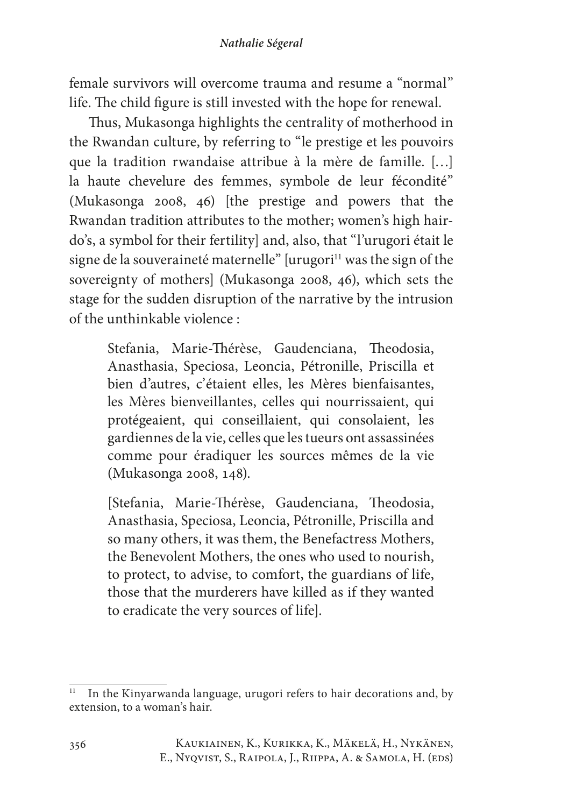female survivors will overcome trauma and resume a "normal" life. The child figure is still invested with the hope for renewal.

Thus, Mukasonga highlights the centrality of motherhood in the Rwandan culture, by referring to "le prestige et les pouvoirs que la tradition rwandaise attribue à la mère de famille. […] la haute chevelure des femmes, symbole de leur fécondité" (Mukasonga 2008, 46) [the prestige and powers that the Rwandan tradition attributes to the mother; women's high hairdo's, a symbol for their fertility] and, also, that "l'urugori était le signe de la souveraineté maternelle" [urugori<sup>11</sup> was the sign of the sovereignty of mothers] (Mukasonga 2008, 46), which sets the stage for the sudden disruption of the narrative by the intrusion of the unthinkable violence :

Stefania, Marie-Thérèse, Gaudenciana, Theodosia, Anasthasia, Speciosa, Leoncia, Pétronille, Priscilla et bien d'autres, c'étaient elles, les Mères bienfaisantes, les Mères bienveillantes, celles qui nourrissaient, qui protégeaient, qui conseillaient, qui consolaient, les gardiennes de la vie, celles que les tueurs ont assassinées comme pour éradiquer les sources mêmes de la vie (Mukasonga 2008, 148).

[Stefania, Marie-Thérèse, Gaudenciana, Theodosia, Anasthasia, Speciosa, Leoncia, Pétronille, Priscilla and so many others, it was them, the Benefactress Mothers, the Benevolent Mothers, the ones who used to nourish, to protect, to advise, to comfort, the guardians of life, those that the murderers have killed as if they wanted to eradicate the very sources of life].

 $\overline{11}$  In the Kinyarwanda language, urugori refers to hair decorations and, by extension, to a woman's hair.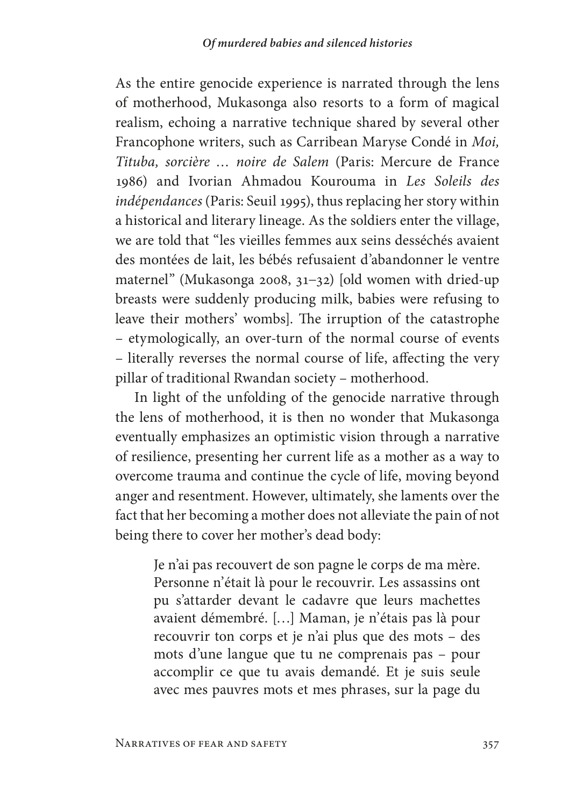As the entire genocide experience is narrated through the lens of motherhood, Mukasonga also resorts to a form of magical realism, echoing a narrative technique shared by several other Francophone writers, such as Carribean Maryse Condé in *Moi, Tituba, sorcière … noire de Salem* (Paris: Mercure de France 1986) and Ivorian Ahmadou Kourouma in *Les Soleils des indépendances* (Paris: Seuil 1995), thus replacing her story within a historical and literary lineage. As the soldiers enter the village, we are told that "les vieilles femmes aux seins desséchés avaient des montées de lait, les bébés refusaient d'abandonner le ventre maternel" (Mukasonga 2008, 31−32) [old women with dried-up breasts were suddenly producing milk, babies were refusing to leave their mothers' wombs]. The irruption of the catastrophe – etymologically, an over-turn of the normal course of events – literally reverses the normal course of life, affecting the very pillar of traditional Rwandan society – motherhood.

In light of the unfolding of the genocide narrative through the lens of motherhood, it is then no wonder that Mukasonga eventually emphasizes an optimistic vision through a narrative of resilience, presenting her current life as a mother as a way to overcome trauma and continue the cycle of life, moving beyond anger and resentment. However, ultimately, she laments over the fact that her becoming a mother does not alleviate the pain of not being there to cover her mother's dead body:

Je n'ai pas recouvert de son pagne le corps de ma mère. Personne n'était là pour le recouvrir. Les assassins ont pu s'attarder devant le cadavre que leurs machettes avaient démembré. […] Maman, je n'étais pas là pour recouvrir ton corps et je n'ai plus que des mots – des mots d'une langue que tu ne comprenais pas – pour accomplir ce que tu avais demandé. Et je suis seule avec mes pauvres mots et mes phrases, sur la page du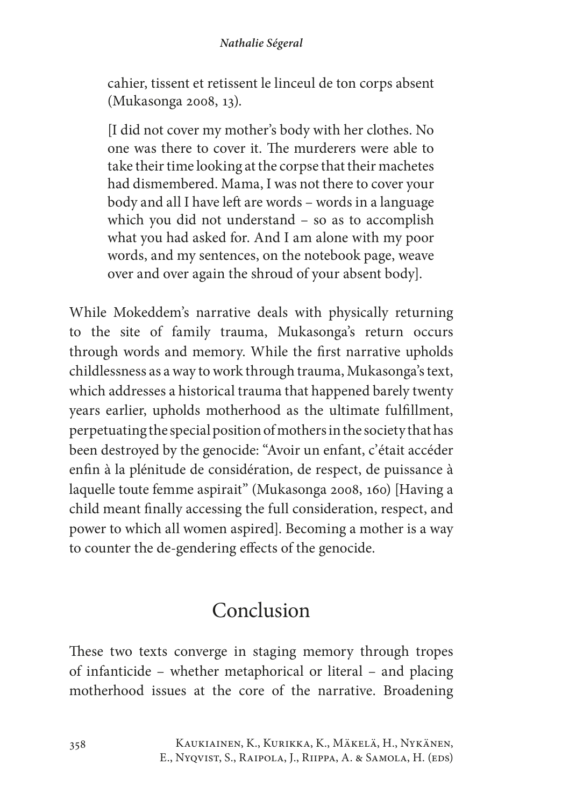#### *Nathalie Ségeral*

cahier, tissent et retissent le linceul de ton corps absent (Mukasonga 2008, 13).

[I did not cover my mother's body with her clothes. No one was there to cover it. The murderers were able to take their time looking at the corpse that their machetes had dismembered. Mama, I was not there to cover your body and all I have left are words – words in a language which you did not understand – so as to accomplish what you had asked for. And I am alone with my poor words, and my sentences, on the notebook page, weave over and over again the shroud of your absent body].

While Mokeddem's narrative deals with physically returning to the site of family trauma, Mukasonga's return occurs through words and memory. While the first narrative upholds childlessness as a way to work through trauma, Mukasonga's text, which addresses a historical trauma that happened barely twenty years earlier, upholds motherhood as the ultimate fulfillment, perpetuating the special position of mothers in the society that has been destroyed by the genocide: "Avoir un enfant, c'était accéder enfin à la plénitude de considération, de respect, de puissance à laquelle toute femme aspirait" (Mukasonga 2008, 160) [Having a child meant finally accessing the full consideration, respect, and power to which all women aspired]. Becoming a mother is a way to counter the de-gendering effects of the genocide.

## Conclusion

These two texts converge in staging memory through tropes of infanticide – whether metaphorical or literal – and placing motherhood issues at the core of the narrative. Broadening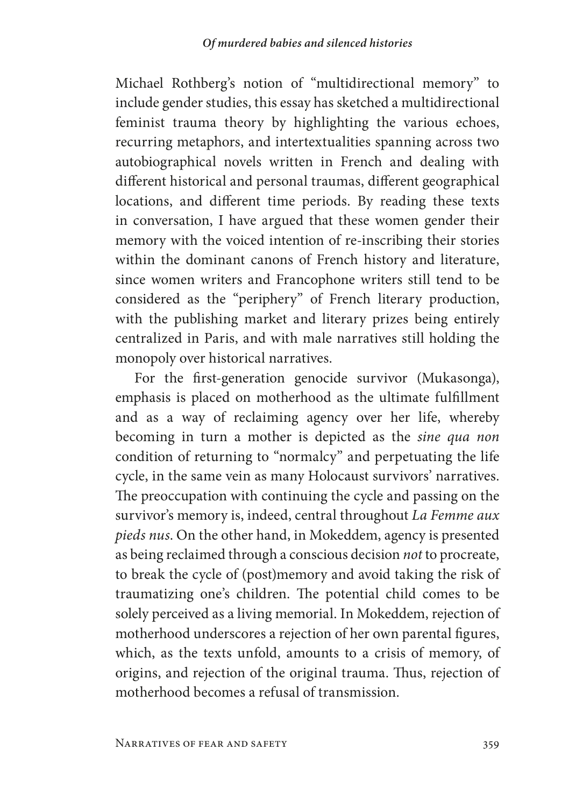Michael Rothberg's notion of "multidirectional memory" to include gender studies, this essay has sketched a multidirectional feminist trauma theory by highlighting the various echoes, recurring metaphors, and intertextualities spanning across two autobiographical novels written in French and dealing with different historical and personal traumas, different geographical locations, and different time periods. By reading these texts in conversation, I have argued that these women gender their memory with the voiced intention of re-inscribing their stories within the dominant canons of French history and literature, since women writers and Francophone writers still tend to be considered as the "periphery" of French literary production, with the publishing market and literary prizes being entirely centralized in Paris, and with male narratives still holding the monopoly over historical narratives.

For the first-generation genocide survivor (Mukasonga), emphasis is placed on motherhood as the ultimate fulfillment and as a way of reclaiming agency over her life, whereby becoming in turn a mother is depicted as the *sine qua non* condition of returning to "normalcy" and perpetuating the life cycle, in the same vein as many Holocaust survivors' narratives. The preoccupation with continuing the cycle and passing on the survivor's memory is, indeed, central throughout *La Femme aux pieds nus*. On the other hand, in Mokeddem, agency is presented as being reclaimed through a conscious decision *not* to procreate, to break the cycle of (post)memory and avoid taking the risk of traumatizing one's children. The potential child comes to be solely perceived as a living memorial. In Mokeddem, rejection of motherhood underscores a rejection of her own parental figures, which, as the texts unfold, amounts to a crisis of memory, of origins, and rejection of the original trauma. Thus, rejection of motherhood becomes a refusal of transmission.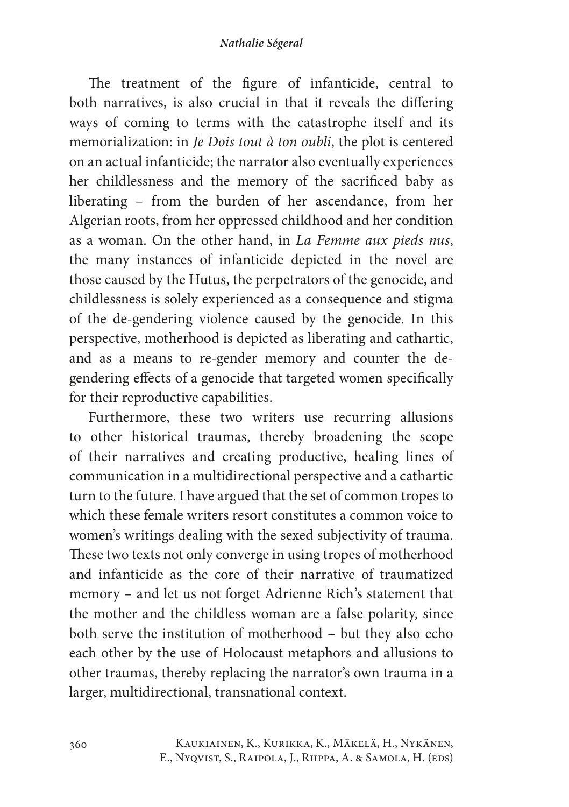#### *Nathalie Ségeral*

The treatment of the figure of infanticide, central to both narratives, is also crucial in that it reveals the differing ways of coming to terms with the catastrophe itself and its memorialization: in *Je Dois tout à ton oubli*, the plot is centered on an actual infanticide; the narrator also eventually experiences her childlessness and the memory of the sacrificed baby as liberating – from the burden of her ascendance, from her Algerian roots, from her oppressed childhood and her condition as a woman. On the other hand, in *La Femme aux pieds nus*, the many instances of infanticide depicted in the novel are those caused by the Hutus, the perpetrators of the genocide, and childlessness is solely experienced as a consequence and stigma of the de-gendering violence caused by the genocide. In this perspective, motherhood is depicted as liberating and cathartic, and as a means to re-gender memory and counter the degendering effects of a genocide that targeted women specifically for their reproductive capabilities.

Furthermore, these two writers use recurring allusions to other historical traumas, thereby broadening the scope of their narratives and creating productive, healing lines of communication in a multidirectional perspective and a cathartic turn to the future. I have argued that the set of common tropes to which these female writers resort constitutes a common voice to women's writings dealing with the sexed subjectivity of trauma. These two texts not only converge in using tropes of motherhood and infanticide as the core of their narrative of traumatized memory – and let us not forget Adrienne Rich's statement that the mother and the childless woman are a false polarity, since both serve the institution of motherhood – but they also echo each other by the use of Holocaust metaphors and allusions to other traumas, thereby replacing the narrator's own trauma in a larger, multidirectional, transnational context.